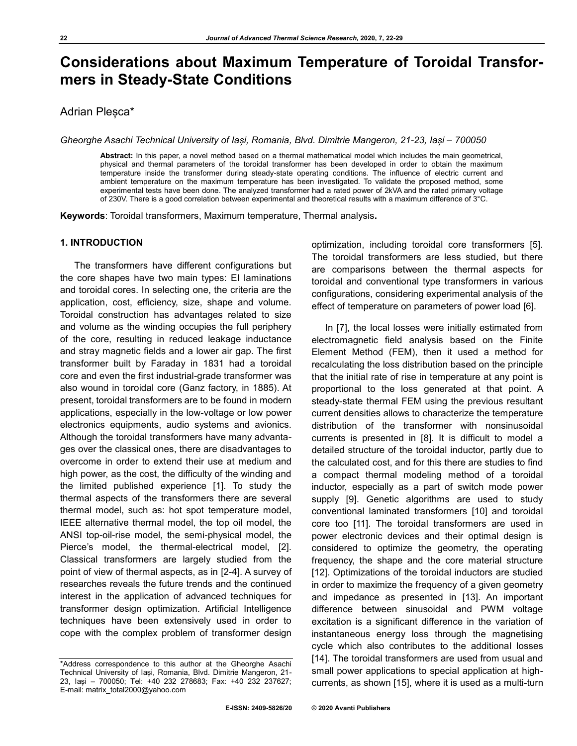# **Considerations about Maximum Temperature of Toroidal Transformers in Steady-State Conditions**

## Adrian Pleșca\*

*Gheorghe Asachi Technical University of Iași, Romania, Blvd. Dimitrie Mangeron, 21-23, Iași – 700050* 

**Abstract:** In this paper, a novel method based on a thermal mathematical model which includes the main geometrical, physical and thermal parameters of the toroidal transformer has been developed in order to obtain the maximum temperature inside the transformer during steady-state operating conditions. The influence of electric current and ambient temperature on the maximum temperature has been investigated. To validate the proposed method, some experimental tests have been done. The analyzed transformer had a rated power of 2kVA and the rated primary voltage of 230V. There is a good correlation between experimental and theoretical results with a maximum difference of 3°C.

**Keywords**: Toroidal transformers, Maximum temperature, Thermal analysis**.**

### **1. INTRODUCTION**

The transformers have different configurations but the core shapes have two main types: EI laminations and toroidal cores. In selecting one, the criteria are the application, cost, efficiency, size, shape and volume. Toroidal construction has advantages related to size and volume as the winding occupies the full periphery of the core, resulting in reduced leakage inductance and stray magnetic fields and a lower air gap. The first transformer built by Faraday in 1831 had a toroidal core and even the first industrial-grade transformer was also wound in toroidal core (Ganz factory, in 1885). At present, toroidal transformers are to be found in modern applications, especially in the low-voltage or low power electronics equipments, audio systems and avionics. Although the toroidal transformers have many advantages over the classical ones, there are disadvantages to overcome in order to extend their use at medium and high power, as the cost, the difficulty of the winding and the limited published experience [1]. To study the thermal aspects of the transformers there are several thermal model, such as: hot spot temperature model, IEEE alternative thermal model, the top oil model, the ANSI top-oil-rise model, the semi-physical model, the Pierce's model, the thermal-electrical model, [2]. Classical transformers are largely studied from the point of view of thermal aspects, as in [2-4]. A survey of researches reveals the future trends and the continued interest in the application of advanced techniques for transformer design optimization. Artificial Intelligence techniques have been extensively used in order to cope with the complex problem of transformer design

optimization, including toroidal core transformers [5]. The toroidal transformers are less studied, but there are comparisons between the thermal aspects for toroidal and conventional type transformers in various configurations, considering experimental analysis of the effect of temperature on parameters of power load [6].

In [7], the local losses were initially estimated from electromagnetic field analysis based on the Finite Element Method (FEM), then it used a method for recalculating the loss distribution based on the principle that the initial rate of rise in temperature at any point is proportional to the loss generated at that point. A steady-state thermal FEM using the previous resultant current densities allows to characterize the temperature distribution of the transformer with nonsinusoidal currents is presented in [8]. It is difficult to model a detailed structure of the toroidal inductor, partly due to the calculated cost, and for this there are studies to find a compact thermal modeling method of a toroidal inductor, especially as a part of switch mode power supply [9]. Genetic algorithms are used to study conventional laminated transformers [10] and toroidal core too [11]. The toroidal transformers are used in power electronic devices and their optimal design is considered to optimize the geometry, the operating frequency, the shape and the core material structure [12]. Optimizations of the toroidal inductors are studied in order to maximize the frequency of a given geometry and impedance as presented in [13]. An important difference between sinusoidal and PWM voltage excitation is a significant difference in the variation of instantaneous energy loss through the magnetising cycle which also contributes to the additional losses [14]. The toroidal transformers are used from usual and small power applications to special application at highcurrents, as shown [15], where it is used as a multi-turn

<sup>\*</sup>Address correspondence to this author at the Gheorghe Asachi Technical University of Iași, Romania, Blvd. Dimitrie Mangeron, 21- 23, Iași – 700050; Tel: +40 232 278683; Fax: +40 232 237627; E-mail: matrix\_total2000@yahoo.com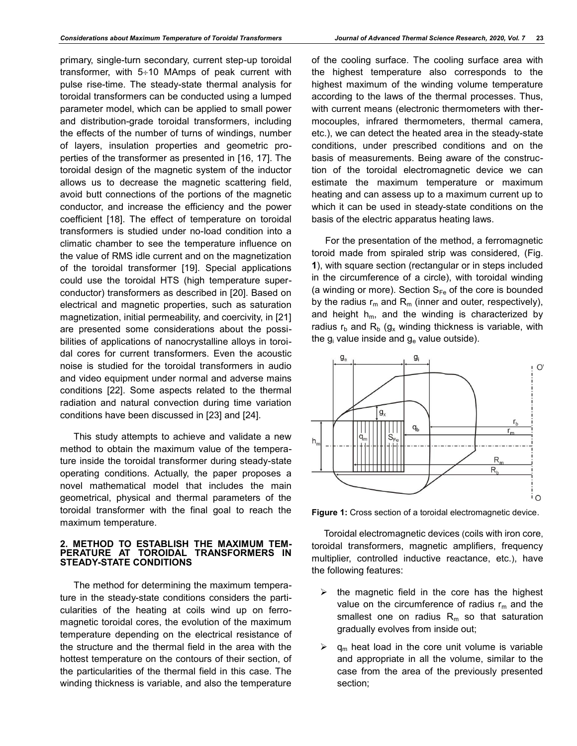primary, single-turn secondary, current step-up toroidal transformer, with  $5\div 10$  MAmps of peak current with pulse rise-time. The steady-state thermal analysis for toroidal transformers can be conducted using a lumped parameter model, which can be applied to small power and distribution-grade toroidal transformers, including the effects of the number of turns of windings, number of layers, insulation properties and geometric properties of the transformer as presented in [16, 17]. The toroidal design of the magnetic system of the inductor allows us to decrease the magnetic scattering field, avoid butt connections of the portions of the magnetic conductor, and increase the efficiency and the power coefficient [18]. The effect of temperature on toroidal transformers is studied under no-load condition into a climatic chamber to see the temperature influence on the value of RMS idle current and on the magnetization of the toroidal transformer [19]. Special applications could use the toroidal HTS (high temperature superconductor) transformers as described in [20]. Based on electrical and magnetic properties, such as saturation magnetization, initial permeability, and coercivity, in [21] are presented some considerations about the possibilities of applications of nanocrystalline alloys in toroidal cores for current transformers. Even the acoustic noise is studied for the toroidal transformers in audio and video equipment under normal and adverse mains conditions [22]. Some aspects related to the thermal radiation and natural convection during time variation conditions have been discussed in [23] and [24].

This study attempts to achieve and validate a new method to obtain the maximum value of the temperature inside the toroidal transformer during steady-state operating conditions. Actually, the paper proposes a novel mathematical model that includes the main geometrical, physical and thermal parameters of the toroidal transformer with the final goal to reach the maximum temperature.

#### **2. METHOD TO ESTABLISH THE MAXIMUM TEM-PERATURE AT TOROIDAL TRANSFORMERS IN STEADY-STATE CONDITIONS**

The method for determining the maximum temperature in the steady-state conditions considers the particularities of the heating at coils wind up on ferromagnetic toroidal cores, the evolution of the maximum temperature depending on the electrical resistance of the structure and the thermal field in the area with the hottest temperature on the contours of their section, of the particularities of the thermal field in this case. The winding thickness is variable, and also the temperature

of the cooling surface. The cooling surface area with the highest temperature also corresponds to the highest maximum of the winding volume temperature according to the laws of the thermal processes. Thus, with current means (electronic thermometers with thermocouples, infrared thermometers, thermal camera, etc.), we can detect the heated area in the steady-state conditions, under prescribed conditions and on the basis of measurements. Being aware of the construction of the toroidal electromagnetic device we can estimate the maximum temperature or maximum heating and can assess up to a maximum current up to which it can be used in steady-state conditions on the basis of the electric apparatus heating laws.

For the presentation of the method, a ferromagnetic toroid made from spiraled strip was considered, (Fig. **1**), with square section (rectangular or in steps included in the circumference of a circle), with toroidal winding (a winding or more). Section  $S_{Fe}$  of the core is bounded by the radius  $r_m$  and  $R_m$  (inner and outer, respectively), and height  $h_m$ , and the winding is characterized by radius  $r_b$  and  $R_b$  (g<sub>x</sub> winding thickness is variable, with the  $g_i$  value inside and  $g_e$  value outside).



**Figure 1:** Cross section of a toroidal electromagnetic device.

Toroidal electromagnetic devices (coils with iron core, toroidal transformers, magnetic amplifiers, frequency multiplier, controlled inductive reactance, etc.), have the following features:

- $\triangleright$  the magnetic field in the core has the highest value on the circumference of radius  $r_m$  and the smallest one on radius  $R_m$  so that saturation gradually evolves from inside out;
- $\triangleright$  q<sub>m</sub> heat load in the core unit volume is variable and appropriate in all the volume, similar to the case from the area of the previously presented section;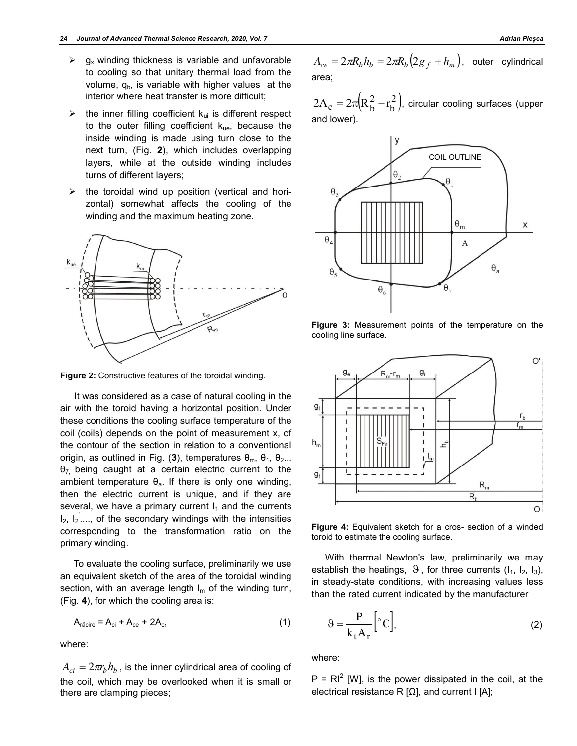- $\triangleright$  g<sub>x</sub> winding thickness is variable and unfavorable to cooling so that unitary thermal load from the volume,  $q<sub>b</sub>$ , is variable with higher values at the interior where heat transfer is more difficult;
- $\triangleright$  the inner filling coefficient k<sub>ui</sub> is different respect to the outer filling coefficient  $k_{ue}$ , because the inside winding is made using turn close to the next turn, (Fig. **2**), which includes overlapping layers, while at the outside winding includes turns of different layers;
- $\triangleright$  the toroidal wind up position (vertical and horizontal) somewhat affects the cooling of the winding and the maximum heating zone.



**Figure 2:** Constructive features of the toroidal winding.

It was considered as a case of natural cooling in the air with the toroid having a horizontal position. Under these conditions the cooling surface temperature of the coil (coils) depends on the point of measurement x, of the contour of the section in relation to a conventional origin, as outlined in Fig. (3), temperatures  $θ<sub>m</sub>$ ,  $θ<sub>1</sub>$ ,  $θ<sub>2</sub>...$  $\theta$ <sub>7</sub> being caught at a certain electric current to the ambient temperature  $\theta_a$ . If there is only one winding, then the electric current is unique, and if they are several, we have a primary current  $I_1$  and the currents  $I_2$ ,  $I_2$  ...., of the secondary windings with the intensities corresponding to the transformation ratio on the primary winding.

To evaluate the cooling surface, preliminarily we use an equivalent sketch of the area of the toroidal winding section, with an average length  $I_m$  of the winding turn, (Fig. **4**), for which the cooling area is:

$$
A_{\text{r\ddot{a}}\text{cire}} = A_{\text{ci}} + A_{\text{ce}} + 2A_{\text{c}},\tag{1}
$$

where:

 $A_{ci} = 2\pi r_b h_b$  , is the inner cylindrical area of cooling of the coil, which may be overlooked when it is small or there are clamping pieces;

 $A_{ce} = 2\pi R_b h_b = 2\pi R_b (2g_f + h_m)$ , outer cylindrical area;

 $\left( R_b^2 - r_b^2 \right)$ , or 2  $2A_c = 2\pi[R_b^2 - r_b^2]$ , circular cooling surfaces (upper and lower).



**Figure 3:** Measurement points of the temperature on the cooling line surface.



**Figure 4:** Equivalent sketch for a cros- section of a winded toroid to estimate the cooling surface.

With thermal Newton's law, preliminarily we may establish the heatings,  $\vartheta$ , for three currents ( $I_1$ ,  $I_2$ ,  $I_3$ ), in steady-state conditions, with increasing values less than the rated current indicated by the manufacturer

$$
\Theta = \frac{P}{k_t A_r} \left[ {}^{\circ}C \right],\tag{2}
$$

where:

 $P = RI^2$  [W], is the power dissipated in the coil, at the electrical resistance R  $[Ω]$ , and current I  $[A]$ ;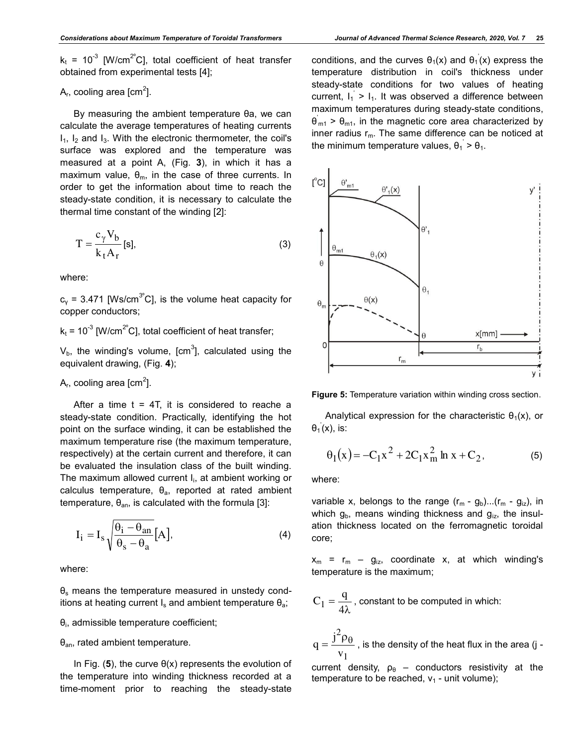$k_t$  = 10<sup>-3</sup> [W/cm<sup>2°</sup>C], total coefficient of heat transfer obtained from experimental tests [4];

# A<sub>r</sub>, cooling area [cm<sup>2</sup>].

By measuring the ambient temperature θa, we can calculate the average temperatures of heating currents  $I_1$ ,  $I_2$  and  $I_3$ . With the electronic thermometer, the coil's surface was explored and the temperature was measured at a point A, (Fig. **3**), in which it has a maximum value,  $\theta_{\rm m}$ , in the case of three currents. In order to get the information about time to reach the steady-state condition, it is necessary to calculate the thermal time constant of the winding [2]:

$$
T = \frac{c_{\gamma} V_b}{k_t A_r} [s],
$$
 (3)

where:

 $c_v$  = 3.471 [Ws/cm<sup>3°</sup>C], is the volume heat capacity for copper conductors;

 $k_t$  = 10<sup>-3</sup> [W/cm<sup>2°</sup>C], total coefficient of heat transfer;

 $V_{\rm b}$ , the winding's volume, [cm $^3$ ], calculated using the equivalent drawing, (Fig. **4**);

A<sub>r</sub>, cooling area [cm<sup>2</sup>].

After a time  $t = 4T$ , it is considered to reache a steady-state condition. Practically, identifying the hot point on the surface winding, it can be established the maximum temperature rise (the maximum temperature, respectively) at the certain current and therefore, it can be evaluated the insulation class of the built winding. The maximum allowed current I<sub>i</sub>, at ambient working or calculus temperature,  $\theta_a$ , reported at rated ambient temperature,  $θ_{an}$ , is calculated with the formula [3]:

$$
I_{i} = I_{s} \sqrt{\frac{\theta_{i} - \theta_{an}}{\theta_{s} - \theta_{a}}} [A], \tag{4}
$$

where:

 $\theta_s$  means the temperature measured in unstedy conditions at heating current  $I_s$  and ambient temperature  $\theta_a$ ;

 $\theta_\mathsf{i}$ , admissible temperature coefficient;

### $\theta$ <sub>an</sub>, rated ambient temperature.

In Fig. (**5**), the curve θ(x) represents the evolution of the temperature into winding thickness recorded at a time-moment prior to reaching the steady-state

conditions, and the curves  $\theta_1(x)$  and  $\theta_1(x)$  express the temperature distribution in coil's thickness under steady-state conditions for two values of heating current,  $I_1$  >  $I_1$ . It was observed a difference between maximum temperatures during steady-state conditions,  $\theta_{m1}$  >  $\theta_{m1}$ , in the magnetic core area characterized by

inner radius  $r_m$ . The same difference can be noticed at

the minimum temperature values,  $\theta_1$  >  $\theta_1$ .





Analytical expression for the characteristic  $\theta_1(x)$ , or  $\theta_1(x)$ , is:

$$
\Theta_1(x) = -C_1 x^2 + 2C_1 x_m^2 \ln x + C_2, \tag{5}
$$

where:

variable x, belongs to the range  $(r_m - g_b)...(r_m - g_{iz})$ , in which  $g_b$ , means winding thickness and  $g_{iz}$ , the insulation thickness located on the ferromagnetic toroidal core;

 $x_m = r_m - g_{iz}$ , coordinate x, at which winding's temperature is the maximum;

$$
C_1 = \frac{q}{4\lambda}
$$
, constant to be computed in which:

$$
q = \frac{j^2 \rho_\theta}{v_1}
$$
, is the density of the heat flux in the area (j -

current density,  $\rho_{\theta}$  – conductors resistivity at the temperature to be reached,  $v_1$  - unit volume);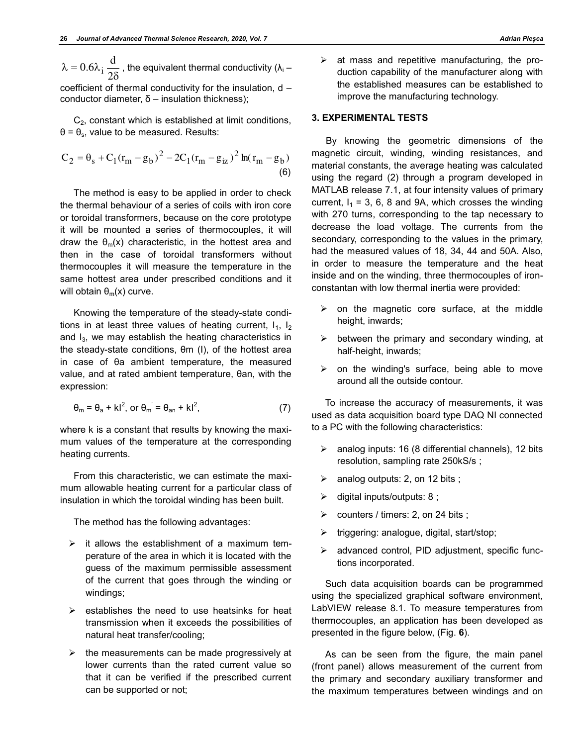$$
\lambda = 0.6\lambda_1 \frac{d}{2\delta}
$$
, the equivalent thermal conductivity  $(\lambda_1 -$ 

coefficient of thermal conductivity for the insulation, d – conductor diameter, δ – insulation thickness);

 $C<sub>2</sub>$ , constant which is established at limit conditions,  $\theta = \theta_{\rm s}$ , value to be measured. Results:

$$
C_2 = \theta_s + C_1 (r_m - g_b)^2 - 2C_1 (r_m - g_{iz})^2 \ln(r_m - g_b)
$$
\n(6)

The method is easy to be applied in order to check the thermal behaviour of a series of coils with iron core or toroidal transformers, because on the core prototype it will be mounted a series of thermocouples, it will draw the  $\theta_m(x)$  characteristic, in the hottest area and then in the case of toroidal transformers without thermocouples it will measure the temperature in the same hottest area under prescribed conditions and it will obtain  $\theta_m(x)$  curve.

Knowing the temperature of the steady-state conditions in at least three values of heating current,  $I_1$ ,  $I_2$ and  $I_3$ , we may establish the heating characteristics in the steady-state conditions, θm (I), of the hottest area in case of θa ambient temperature, the measured value, and at rated ambient temperature, θan, with the expression:

$$
\theta_{\rm m} = \theta_{\rm a} + kl^2, \text{ or } \theta_{\rm m} = \theta_{\rm an} + kl^2,
$$
 (7)

where k is a constant that results by knowing the maximum values of the temperature at the corresponding heating currents.

From this characteristic, we can estimate the maximum allowable heating current for a particular class of insulation in which the toroidal winding has been built.

The method has the following advantages:

- $\triangleright$  it allows the establishment of a maximum temperature of the area in which it is located with the guess of the maximum permissible assessment of the current that goes through the winding or windings;
- $\triangleright$  establishes the need to use heatsinks for heat transmission when it exceeds the possibilities of natural heat transfer/cooling;
- $\triangleright$  the measurements can be made progressively at lower currents than the rated current value so that it can be verified if the prescribed current can be supported or not;

 $\triangleright$  at mass and repetitive manufacturing, the production capability of the manufacturer along with the established measures can be established to improve the manufacturing technology.

#### **3. EXPERIMENTAL TESTS**

By knowing the geometric dimensions of the magnetic circuit, winding, winding resistances, and material constants, the average heating was calculated using the regard (2) through a program developed in MATLAB release 7.1, at four intensity values of primary current,  $I_1 = 3$ , 6, 8 and 9A, which crosses the winding with 270 turns, corresponding to the tap necessary to decrease the load voltage. The currents from the secondary, corresponding to the values in the primary, had the measured values of 18, 34, 44 and 50A. Also, in order to measure the temperature and the heat inside and on the winding, three thermocouples of ironconstantan with low thermal inertia were provided:

- $\triangleright$  on the magnetic core surface, at the middle height, inwards;
- $\triangleright$  between the primary and secondary winding, at half-height, inwards;
- $\triangleright$  on the winding's surface, being able to move around all the outside contour.

To increase the accuracy of measurements, it was used as data acquisition board type DAQ NI connected to a PC with the following characteristics:

- $\triangleright$  analog inputs: 16 (8 differential channels), 12 bits resolution, sampling rate 250kS/s ;
- $\triangleright$  analog outputs: 2, on 12 bits ;
- $\triangleright$  digital inputs/outputs: 8;
- $\triangleright$  counters / timers: 2, on 24 bits ;
- triggering: analogue, digital, start/stop;
- advanced control, PID adjustment, specific functions incorporated.

Such data acquisition boards can be programmed using the specialized graphical software environment, LabVIEW release 8.1. To measure temperatures from thermocouples, an application has been developed as presented in the figure below, (Fig. **6**).

As can be seen from the figure, the main panel (front panel) allows measurement of the current from the primary and secondary auxiliary transformer and the maximum temperatures between windings and on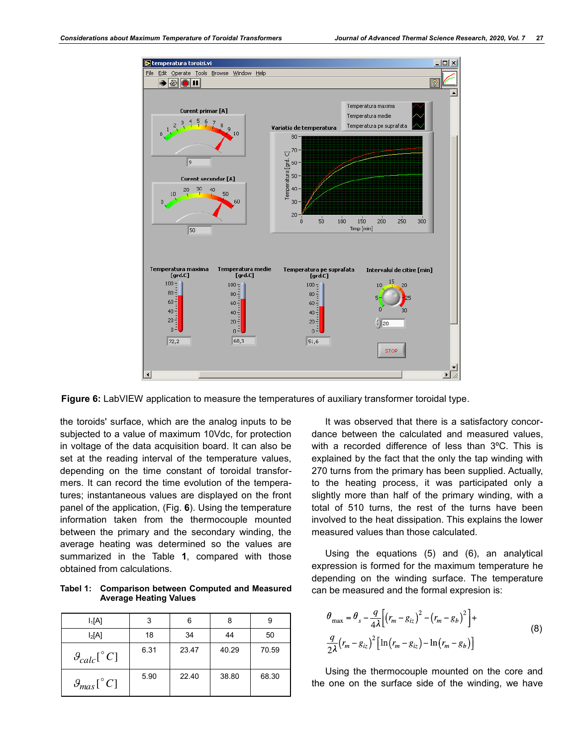

**Figure 6:** LabVIEW application to measure the temperatures of auxiliary transformer toroidal type.

the toroids' surface, which are the analog inputs to be subjected to a value of maximum 10Vdc, for protection in voltage of the data acquisition board. It can also be set at the reading interval of the temperature values, depending on the time constant of toroidal transformers. It can record the time evolution of the temperatures; instantaneous values are displayed on the front panel of the application, (Fig. **6**). Using the temperature information taken from the thermocouple mounted between the primary and the secondary winding, the average heating was determined so the values are summarized in the Table **1**, compared with those obtained from calculations.

**Tabel 1: Comparison between Computed and Measured Average Heating Values** 

| $I_1[A]$                        | 3    | 6     | 8     | 9     |
|---------------------------------|------|-------|-------|-------|
| $I_2[A]$                        | 18   | 34    | 44    | 50    |
| $\mathcal{G}_{calc}[^{\circ}C]$ | 6.31 | 23.47 | 40.29 | 70.59 |
| $\mathcal{G}_{max}[^{\circ}C]$  | 5.90 | 22.40 | 38.80 | 68.30 |

It was observed that there is a satisfactory concordance between the calculated and measured values, with a recorded difference of less than 3ºC. This is explained by the fact that the only the tap winding with 270 turns from the primary has been supplied. Actually, to the heating process, it was participated only a slightly more than half of the primary winding, with a total of 510 turns, the rest of the turns have been involved to the heat dissipation. This explains the lower measured values than those calculated.

Using the equations (5) and (6), an analytical expression is formed for the maximum temperature he depending on the winding surface. The temperature can be measured and the formal expresion is:

$$
\theta_{\text{max}} = \theta_s - \frac{q}{4\lambda} \Big[ \big(r_m - g_{iz}\big)^2 - \big(r_m - g_b\big)^2 \Big] +
$$
\n
$$
\frac{q}{2\lambda} \big(r_m - g_{iz}\big)^2 \Big[ \ln \big(r_m - g_{iz}\big) - \ln \big(r_m - g_b\big) \Big]
$$
\n(8)

Using the thermocouple mounted on the core and the one on the surface side of the winding, we have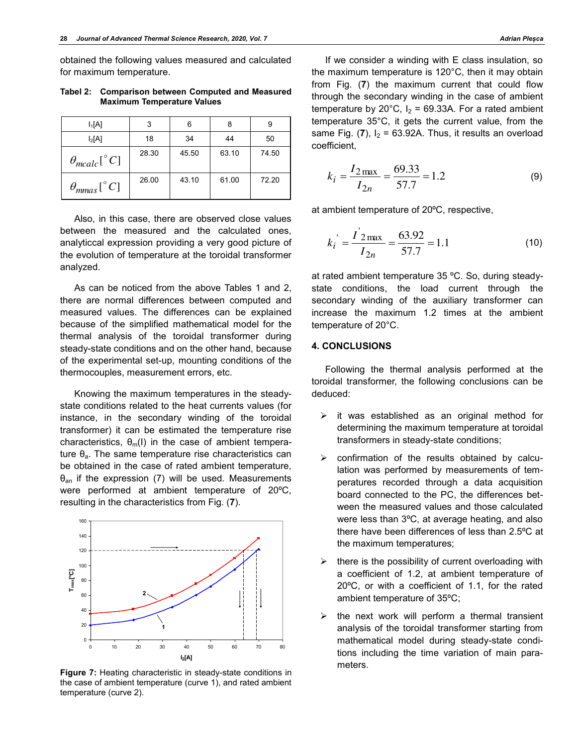obtained the following values measured and calculated for maximum temperature.

**Tabel 2: Comparison between Computed and Measured Maximum Temperature Values** 

| $I_1[A]$                    | 3     | 6     | 8     | 9     |
|-----------------------------|-------|-------|-------|-------|
| $I_2[A]$                    | 18    | 34    | 44    | 50    |
| $\theta_{mealc}[^{\circ}C]$ | 28.30 | 45.50 | 63.10 | 74.50 |
| $\theta_{mnas}[^{\circ}C]$  | 26.00 | 43.10 | 61.00 | 72.20 |

Also, in this case, there are observed close values between the measured and the calculated ones, analyticcal expression providing a very good picture of the evolution of temperature at the toroidal transformer analyzed.

As can be noticed from the above Tables 1 and 2, there are normal differences between computed and measured values. The differences can be explained because of the simplified mathematical model for the thermal analysis of the toroidal transformer during steady-state conditions and on the other hand, because of the experimental set-up, mounting conditions of the thermocouples, measurement errors, etc.

Knowing the maximum temperatures in the steadystate conditions related to the heat currents values (for instance, in the secondary winding of the toroidal transformer) it can be estimated the temperature rise characteristics,  $\theta_{m}(I)$  in the case of ambient temperature  $\theta_a$ . The same temperature rise characteristics can be obtained in the case of rated ambient temperature,  $\theta_{\text{an}}$  if the expression (7) will be used. Measurements were performed at ambient temperature of 20ºC, resulting in the characteristics from Fig. (**7**).



**Figure 7:** Heating characteristic in steady-state conditions in the case of ambient temperature (curve 1), and rated ambient temperature (curve 2).

If we consider a winding with E class insulation, so the maximum temperature is 120°C, then it may obtain from Fig. (**7**) the maximum current that could flow through the secondary winding in the case of ambient temperature by 20°C,  $I_2 = 69.33A$ . For a rated ambient temperature 35°C, it gets the current value, from the same Fig.  $(7)$ ,  $I_2 = 63.92A$ . Thus, it results an overload coefficient,

$$
k_i = \frac{I_{2\max}}{I_{2n}} = \frac{69.33}{57.7} = 1.2
$$
 (9)

at ambient temperature of 20ºC, respective,

$$
k_i = \frac{I^{'2} \max I_{2n}} = \frac{63.92}{57.7} = 1.1
$$
 (10)

at rated ambient temperature 35 ºC. So, during steadystate conditions, the load current through the secondary winding of the auxiliary transformer can increase the maximum 1.2 times at the ambient temperature of 20°C.

### **4. CONCLUSIONS**

Following the thermal analysis performed at the toroidal transformer, the following conclusions can be deduced:

- $\triangleright$  it was established as an original method for determining the maximum temperature at toroidal transformers in steady-state conditions;
- $\triangleright$  confirmation of the results obtained by calculation was performed by measurements of temperatures recorded through a data acquisition board connected to the PC, the differences between the measured values and those calculated were less than 3ºC, at average heating, and also there have been differences of less than 2.5ºC at the maximum temperatures;
- $\triangleright$  there is the possibility of current overloading with a coefficient of 1.2, at ambient temperature of 20ºC, or with a coefficient of 1.1, for the rated ambient temperature of 35ºC;
- $\triangleright$  the next work will perform a thermal transient analysis of the toroidal transformer starting from mathematical model during steady-state conditions including the time variation of main parameters.